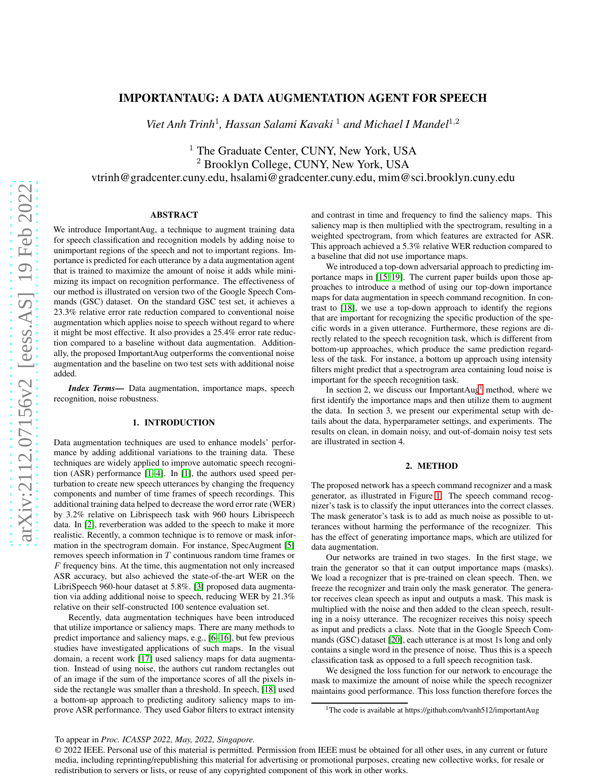# IMPORTANTAUG: A DATA AUGMENTATION AGENT FOR SPEECH

Viet Anh Trinh<sup>1</sup>, Hassan Salami Kavaki<sup>1</sup> and Michael I Mandel<sup>1,2</sup>

<sup>1</sup> The Graduate Center, CUNY, New York, USA <sup>2</sup> Brooklyn College, CUNY, New York, USA vtrinh@gradcenter.cuny.edu, hsalami@gradcenter.cuny.edu, mim@sci.brooklyn.cuny.edu

## ABSTRACT

We introduce ImportantAug, a technique to augment training data for speech classification and recognition models by adding noise to unimportant regions of the speech and not to important regions. Importance is predicted for each utterance by a data augmentation agent that is trained to maximize the amount of noise it adds while minimizing its impact on recognition performance. The effectiveness of our method is illustrated on version two of the Google Speech Commands (GSC) dataset. On the standard GSC test set, it achieves a 23.3% relative error rate reduction compared to conventional noise augmentation which applies noise to speech without regard to where it might be most effective. It also provides a 25.4% error rate reduction compared to a baseline without data augmentation. Additionally, the proposed ImportantAug outperforms the conventional noise augmentation and the baseline on two test sets with additional noise added.

*Index Terms*— Data augmentation, importance maps, speech recognition, noise robustness.

# 1. INTRODUCTION

Data augmentation techniques are used to enhance models' performance by adding additional variations to the training data. These techniques are widely applied to improve automatic speech recognition (ASR) performance [\[1–](#page-4-0)[4\]](#page-4-1). In [\[1\]](#page-4-0), the authors used speed perturbation to create new speech utterances by changing the frequency components and number of time frames of speech recordings. This additional training data helped to decrease the word error rate (WER) by 3.2% relative on Librispeech task with 960 hours Librispeech data. In [\[2\]](#page-4-2), reverberation was added to the speech to make it more realistic. Recently, a common technique is to remove or mask information in the spectrogram domain. For instance, SpecAugment [\[5\]](#page-4-3) removes speech information in T continuous random time frames or  $F$  frequency bins. At the time, this augmentation not only increased ASR accuracy, but also achieved the state-of-the-art WER on the LibriSpeech 960-hour dataset at 5.8%. [\[3\]](#page-4-4) proposed data augmentation via adding additional noise to speech, reducing WER by 21.3% relative on their self-constructed 100 sentence evaluation set.

Recently, data augmentation techniques have been introduced that utilize importance or saliency maps. There are many methods to predict importance and saliency maps, e.g., [\[6–](#page-4-5)[16\]](#page-4-6), but few previous studies have investigated applications of such maps. In the visual domain, a recent work [\[17\]](#page-4-7) used saliency maps for data augmentation. Instead of using noise, the authors cut random rectangles out of an image if the sum of the importance scores of all the pixels inside the rectangle was smaller than a threshold. In speech, [\[18\]](#page-4-8) used a bottom-up approach to predicting auditory saliency maps to improve ASR performance. They used Gabor filters to extract intensity

and contrast in time and frequency to find the saliency maps. This saliency map is then multiplied with the spectrogram, resulting in a weighted spectrogram, from which features are extracted for ASR. This approach achieved a 5.3% relative WER reduction compared to a baseline that did not use importance maps.

We introduced a top-down adversarial approach to predicting importance maps in [\[15,](#page-4-9) [19\]](#page-4-10). The current paper builds upon those approaches to introduce a method of using our top-down importance maps for data augmentation in speech command recognition. In contrast to [\[18\]](#page-4-8), we use a top-down approach to identify the regions that are important for recognizing the specific production of the specific words in a given utterance. Furthermore, these regions are directly related to the speech recognition task, which is different from bottom-up approaches, which produce the same prediction regardless of the task. For instance, a bottom up approach using intensity filters might predict that a spectrogram area containing loud noise is important for the speech recognition task.

In section 2, we discuss our Important $Aug<sup>1</sup>$  $Aug<sup>1</sup>$  $Aug<sup>1</sup>$  method, where we first identify the importance maps and then utilize them to augment the data. In section 3, we present our experimental setup with details about the data, hyperparameter settings, and experiments. The results on clean, in domain noisy, and out-of-domain noisy test sets are illustrated in section 4.

## 2. METHOD

The proposed network has a speech command recognizer and a mask generator, as illustrated in Figure [1.](#page-1-0) The speech command recognizer's task is to classify the input utterances into the correct classes. The mask generator's task is to add as much noise as possible to utterances without harming the performance of the recognizer. This has the effect of generating importance maps, which are utilized for data augmentation.

Our networks are trained in two stages. In the first stage, we train the generator so that it can output importance maps (masks). We load a recognizer that is pre-trained on clean speech. Then, we freeze the recognizer and train only the mask generator. The generator receives clean speech as input and outputs a mask. This mask is multiplied with the noise and then added to the clean speech, resulting in a noisy utterance. The recognizer receives this noisy speech as input and predicts a class. Note that in the Google Speech Commands (GSC) dataset [\[20\]](#page-4-11), each utterance is at most 1s long and only contains a single word in the presence of noise. Thus this is a speech classification task as opposed to a full speech recognition task.

We designed the loss function for our network to encourage the mask to maximize the amount of noise while the speech recognizer maintains good performance. This loss function therefore forces the

<span id="page-0-0"></span><sup>&</sup>lt;sup>1</sup>The code is available at https://github.com/tvanh512/importantAug

<sup>© 2022</sup> IEEE. Personal use of this material is permitted. Permission from IEEE must be obtained for all other uses, in any current or future media, including reprinting/republishing this material for advertising or promotional purposes, creating new collective works, for resale or redistribution to servers or lists, or reuse of any copyrighted component of this work in other works.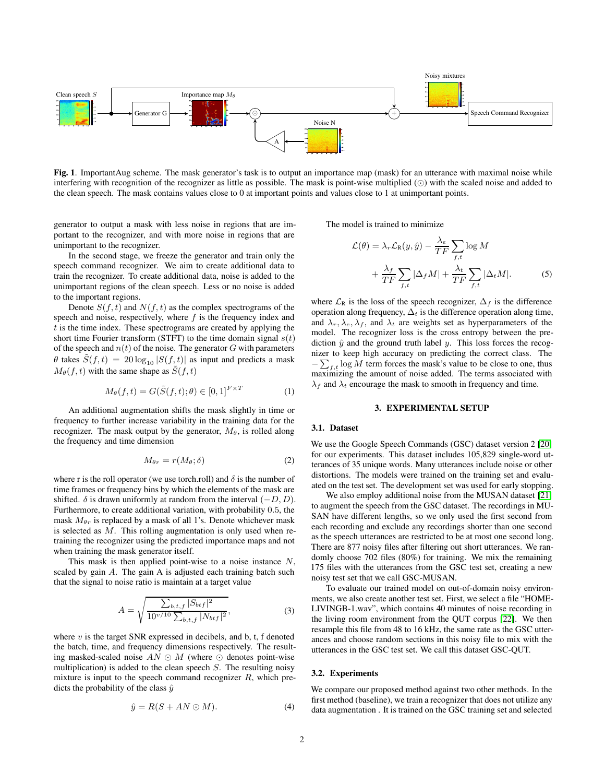

<span id="page-1-0"></span>Fig. 1. ImportantAug scheme. The mask generator's task is to output an importance map (mask) for an utterance with maximal noise while interfering with recognition of the recognizer as little as possible. The mask is point-wise multiplied (⊙) with the scaled noise and added to the clean speech. The mask contains values close to 0 at important points and values close to 1 at unimportant points.

generator to output a mask with less noise in regions that are important to the recognizer, and with more noise in regions that are unimportant to the recognizer.

In the second stage, we freeze the generator and train only the speech command recognizer. We aim to create additional data to train the recognizer. To create additional data, noise is added to the unimportant regions of the clean speech. Less or no noise is added to the important regions.

Denote  $S(f, t)$  and  $N(f, t)$  as the complex spectrograms of the speech and noise, respectively, where  $f$  is the frequency index and  $t$  is the time index. These spectrograms are created by applying the short time Fourier transform (STFT) to the time domain signal  $s(t)$ of the speech and  $n(t)$  of the noise. The generator G with parameters  $\theta$  takes  $S(f, t) = 20 \log_{10} |S(f, t)|$  as input and predicts a mask  $M_{\theta}(f, t)$  with the same shape as  $\tilde{S}(f, t)$ 

$$
M_{\theta}(f,t) = G(\tilde{S}(f,t);\theta) \in [0,1]^{F \times T}
$$
 (1)

An additional augmentation shifts the mask slightly in time or frequency to further increase variability in the training data for the recognizer. The mask output by the generator,  $M_{\theta}$ , is rolled along the frequency and time dimension

$$
M_{\theta r} = r(M_{\theta}; \delta) \tag{2}
$$

where r is the roll operator (we use torch.roll) and  $\delta$  is the number of time frames or frequency bins by which the elements of the mask are shifted.  $\delta$  is drawn uniformly at random from the interval  $(-D, D)$ . Furthermore, to create additional variation, with probability 0.5, the mask  $M_{\theta r}$  is replaced by a mask of all 1's. Denote whichever mask is selected as M. This rolling augmentation is only used when retraining the recognizer using the predicted importance maps and not when training the mask generator itself.

This mask is then applied point-wise to a noise instance  $N$ , scaled by gain A. The gain A is adjusted each training batch such that the signal to noise ratio is maintain at a target value

$$
A = \sqrt{\frac{\sum_{b,t,f} |S_{btf}|^2}{10^{\nu/10} \sum_{b,t,f} |N_{btf}|^2}},
$$
\n(3)

where  $v$  is the target SNR expressed in decibels, and b, t, f denoted the batch, time, and frequency dimensions respectively. The resulting masked-scaled noise  $AN \odot M$  (where  $\odot$  denotes point-wise multiplication) is added to the clean speech  $S$ . The resulting noisy mixture is input to the speech command recognizer  $R$ , which predicts the probability of the class  $\hat{y}$ 

$$
\hat{y} = R(S + AN \odot M). \tag{4}
$$

The model is trained to minimize

$$
\mathcal{L}(\theta) = \lambda_r \mathcal{L}_{\mathcal{R}}(y, \hat{y}) - \frac{\lambda_e}{TF} \sum_{f, t} \log M + \frac{\lambda_f}{TF} \sum_{f, t} |\Delta_f M| + \frac{\lambda_t}{TF} \sum_{f, t} |\Delta_t M|.
$$
 (5)

where  $\mathcal{L}_R$  is the loss of the speech recognizer,  $\Delta_f$  is the difference operation along frequency,  $\Delta_t$  is the difference operation along time, and  $\lambda_r, \lambda_e, \lambda_f$ , and  $\lambda_t$  are weights set as hyperparameters of the model. The recognizer loss is the cross entropy between the prediction  $\hat{y}$  and the ground truth label y. This loss forces the recognizer to keep high accuracy on predicting the correct class. The  $-\sum_{f,t}$  log M term forces the mask's value to be close to one, thus maximizing the amount of noise added. The terms associated with  $\lambda_f$  and  $\lambda_t$  encourage the mask to smooth in frequency and time.

#### 3. EXPERIMENTAL SETUP

#### 3.1. Dataset

We use the Google Speech Commands (GSC) dataset version 2 [\[20\]](#page-4-11) for our experiments. This dataset includes 105,829 single-word utterances of 35 unique words. Many utterances include noise or other distortions. The models were trained on the training set and evaluated on the test set. The development set was used for early stopping.

We also employ additional noise from the MUSAN dataset [\[21\]](#page-4-12) to augment the speech from the GSC dataset. The recordings in MU-SAN have different lengths, so we only used the first second from each recording and exclude any recordings shorter than one second as the speech utterances are restricted to be at most one second long. There are 877 noisy files after filtering out short utterances. We randomly choose 702 files (80%) for training. We mix the remaining 175 files with the utterances from the GSC test set, creating a new noisy test set that we call GSC-MUSAN.

To evaluate our trained model on out-of-domain noisy environments, we also create another test set. First, we select a file "HOME-LIVINGB-1.wav", which contains 40 minutes of noise recording in the living room environment from the QUT corpus [\[22\]](#page-4-13). We then resample this file from 48 to 16 kHz, the same rate as the GSC utterances and choose random sections in this noisy file to mix with the utterances in the GSC test set. We call this dataset GSC-QUT.

#### 3.2. Experiments

We compare our proposed method against two other methods. In the first method (baseline), we train a recognizer that does not utilize any data augmentation . It is trained on the GSC training set and selected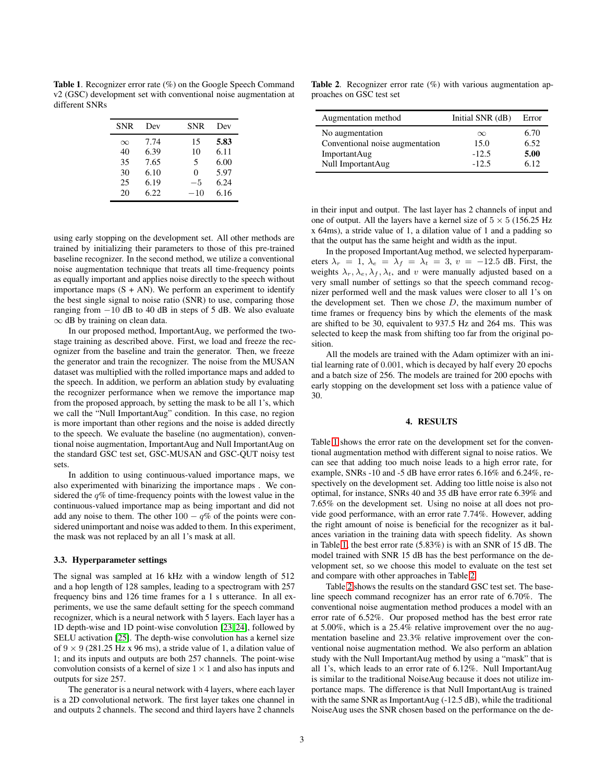<span id="page-2-0"></span>Table 1. Recognizer error rate (%) on the Google Speech Command v2 (GSC) development set with conventional noise augmentation at different SNRs

| <b>SNR</b> | Dev  | <b>SNR</b> | Dev  |
|------------|------|------------|------|
| $\infty$   | 7.74 | 15         | 5.83 |
| 40         | 6.39 | 10         | 6.11 |
| 35         | 7.65 | 5          | 6.00 |
| 30         | 6.10 | 0          | 5.97 |
| 25         | 6.19 | $-5$       | 6.24 |
| 20         | 6.22 | $-10$      | 6.16 |

using early stopping on the development set. All other methods are trained by initializing their parameters to those of this pre-trained baseline recognizer. In the second method, we utilize a conventional noise augmentation technique that treats all time-frequency points as equally important and applies noise directly to the speech without importance maps  $(S + AN)$ . We perform an experiment to identify the best single signal to noise ratio (SNR) to use, comparing those ranging from −10 dB to 40 dB in steps of 5 dB. We also evaluate ∞ dB by training on clean data.

In our proposed method, ImportantAug, we performed the twostage training as described above. First, we load and freeze the recognizer from the baseline and train the generator. Then, we freeze the generator and train the recognizer. The noise from the MUSAN dataset was multiplied with the rolled importance maps and added to the speech. In addition, we perform an ablation study by evaluating the recognizer performance when we remove the importance map from the proposed approach, by setting the mask to be all 1's, which we call the "Null ImportantAug" condition. In this case, no region is more important than other regions and the noise is added directly to the speech. We evaluate the baseline (no augmentation), conventional noise augmentation, ImportantAug and Null ImportantAug on the standard GSC test set, GSC-MUSAN and GSC-QUT noisy test sets.

In addition to using continuous-valued importance maps, we also experimented with binarizing the importance maps . We considered the  $q\%$  of time-frequency points with the lowest value in the continuous-valued importance map as being important and did not add any noise to them. The other  $100 - q\%$  of the points were considered unimportant and noise was added to them. In this experiment, the mask was not replaced by an all 1's mask at all.

#### 3.3. Hyperparameter settings

The signal was sampled at 16 kHz with a window length of 512 and a hop length of 128 samples, leading to a spectrogram with 257 frequency bins and 126 time frames for a 1 s utterance. In all experiments, we use the same default setting for the speech command recognizer, which is a neural network with 5 layers. Each layer has a 1D depth-wise and 1D point-wise convolution [\[23,](#page-4-14) [24\]](#page-4-15), followed by SELU activation [\[25\]](#page-4-16). The depth-wise convolution has a kernel size of  $9 \times 9$  (281.25 Hz x 96 ms), a stride value of 1, a dilation value of 1; and its inputs and outputs are both 257 channels. The point-wise convolution consists of a kernel of size  $1 \times 1$  and also has inputs and outputs for size 257.

The generator is a neural network with 4 layers, where each layer is a 2D convolutional network. The first layer takes one channel in and outputs 2 channels. The second and third layers have 2 channels

Table 2. Recognizer error rate (%) with various augmentation approaches on GSC test set

<span id="page-2-1"></span>

| Augmentation method             | Initial SNR (dB) | Error |
|---------------------------------|------------------|-------|
| No augmentation                 | $\infty$         | 6.70  |
| Conventional noise augmentation | 15.0             | 6.52  |
| <b>ImportantAug</b>             | $-12.5$          | 5.00  |
| Null ImportantAug               | $-12.5$          | 6.12  |

in their input and output. The last layer has 2 channels of input and one of output. All the layers have a kernel size of  $5 \times 5$  (156.25 Hz x 64ms), a stride value of 1, a dilation value of 1 and a padding so that the output has the same height and width as the input.

In the proposed ImportantAug method, we selected hyperparameters  $\lambda_r = 1$ ,  $\lambda_e = \lambda_f = \lambda_t = 3$ ,  $v = -12.5$  dB. First, the weights  $\lambda_r, \lambda_e, \lambda_f, \lambda_t$ , and v were manually adjusted based on a very small number of settings so that the speech command recognizer performed well and the mask values were closer to all 1's on the development set. Then we chose  $D$ , the maximum number of time frames or frequency bins by which the elements of the mask are shifted to be 30, equivalent to 937.5 Hz and 264 ms. This was selected to keep the mask from shifting too far from the original position.

All the models are trained with the Adam optimizer with an initial learning rate of 0.001, which is decayed by half every 20 epochs and a batch size of 256. The models are trained for 200 epochs with early stopping on the development set loss with a patience value of 30.

#### 4. RESULTS

Table [1](#page-2-0) shows the error rate on the development set for the conventional augmentation method with different signal to noise ratios. We can see that adding too much noise leads to a high error rate, for example, SNRs -10 and -5 dB have error rates 6.16% and 6.24%, respectively on the development set. Adding too little noise is also not optimal, for instance, SNRs 40 and 35 dB have error rate 6.39% and 7.65% on the development set. Using no noise at all does not provide good performance, with an error rate 7.74%. However, adding the right amount of noise is beneficial for the recognizer as it balances variation in the training data with speech fidelity. As shown in Table [1,](#page-2-0) the best error rate (5.83%) is with an SNR of 15 dB. The model trained with SNR 15 dB has the best performance on the development set, so we choose this model to evaluate on the test set and compare with other approaches in Table [2.](#page-2-1)

Table [2](#page-2-1) shows the results on the standard GSC test set. The baseline speech command recognizer has an error rate of 6.70%. The conventional noise augmentation method produces a model with an error rate of 6.52%. Our proposed method has the best error rate at 5.00%, which is a 25.4% relative improvement over the no augmentation baseline and 23.3% relative improvement over the conventional noise augmentation method. We also perform an ablation study with the Null ImportantAug method by using a "mask" that is all 1's, which leads to an error rate of 6.12%. Null ImportantAug is similar to the traditional NoiseAug because it does not utilize importance maps. The difference is that Null ImportantAug is trained with the same SNR as ImportantAug (-12.5 dB), while the traditional NoiseAug uses the SNR chosen based on the performance on the de-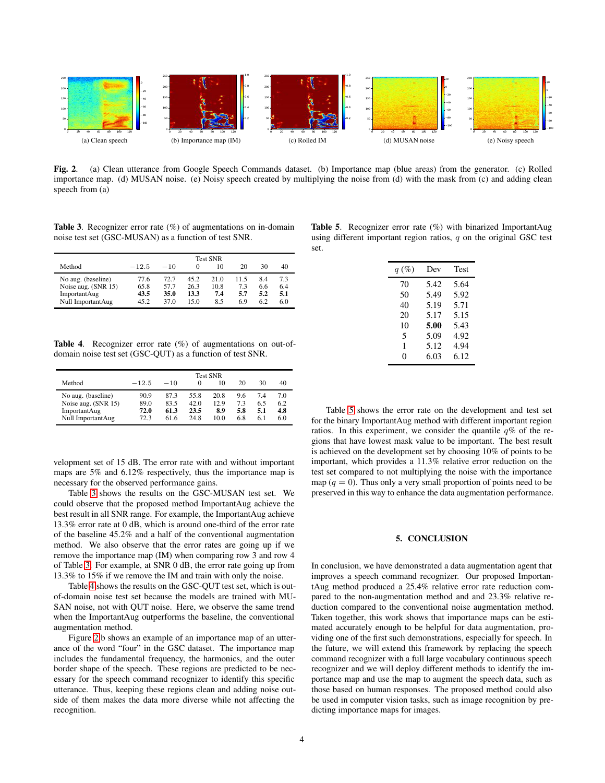

<span id="page-3-2"></span>Fig. 2. (a) Clean utterance from Google Speech Commands dataset. (b) Importance map (blue areas) from the generator. (c) Rolled importance map. (d) MUSAN noise. (e) Noisy speech created by multiplying the noise from (d) with the mask from (c) and adding clean speech from (a)

<span id="page-3-0"></span>Table 3. Recognizer error rate (%) of augmentations on in-domain noise test set (GSC-MUSAN) as a function of test SNR.

|                     | <b>Test SNR</b> |       |          |      |     |     |     |
|---------------------|-----------------|-------|----------|------|-----|-----|-----|
| Method              | $-12.5$         | $-10$ | $\Omega$ | 10   | 20  | 30  | 40  |
| No aug. (baseline)  | 77.6            | 72.7  | 45.2     | 21.0 | 115 | 8.4 | 7.3 |
| Noise aug. (SNR 15) | 65.8            | 57.7  | 26.3     | 10.8 | 7.3 | 6.6 | 6.4 |
| ImportantAug        | 43.5            | 35.0  | 13.3     | 7.4  | 5.7 | 5.2 | 5.1 |
| Null ImportantAug   | 45.2            | 37.0  | 15.0     | 8.5  | 6.9 | 62  | 6.0 |

<span id="page-3-1"></span>Table 4. Recognizer error rate (%) of augmentations on out-ofdomain noise test set (GSC-QUT) as a function of test SNR.

|                     | <b>Test SNR</b> |       |          |      |     |     |     |
|---------------------|-----------------|-------|----------|------|-----|-----|-----|
| Method              | $-12.5$         | $-10$ | $\Omega$ | 10   | 20  | 30  | 40  |
| No aug. (baseline)  | 90.9            | 87.3  | 55.8     | 20.8 | 9.6 | 7.4 | 7.0 |
| Noise aug. (SNR 15) | 89.0            | 83.5  | 42.0     | 12.9 | 7.3 | 6.5 | 6.2 |
| ImportantAug        | 72.0            | 61.3  | 23.5     | 8.9  | 5.8 | 5.1 | 4.8 |
| Null ImportantAug   | 72.3            | 61.6  | 24.8     | 10.0 | 6.8 | 6.1 | 6.0 |

velopment set of 15 dB. The error rate with and without important maps are 5% and 6.12% respectively, thus the importance map is necessary for the observed performance gains.

Table [3](#page-3-0) shows the results on the GSC-MUSAN test set. We could observe that the proposed method ImportantAug achieve the best result in all SNR range. For example, the ImportantAug achieve 13.3% error rate at 0 dB, which is around one-third of the error rate of the baseline 45.2% and a half of the conventional augmentation method. We also observe that the error rates are going up if we remove the importance map (IM) when comparing row 3 and row 4 of Table [3.](#page-3-0) For example, at SNR 0 dB, the error rate going up from 13.3% to 15% if we remove the IM and train with only the noise.

Table [4](#page-3-1) shows the results on the GSC-QUT test set, which is outof-domain noise test set because the models are trained with MU-SAN noise, not with QUT noise. Here, we observe the same trend when the ImportantAug outperforms the baseline, the conventional augmentation method.

Figure [2.](#page-3-2)b shows an example of an importance map of an utterance of the word "four" in the GSC dataset. The importance map includes the fundamental frequency, the harmonics, and the outer border shape of the speech. These regions are predicted to be necessary for the speech command recognizer to identify this specific utterance. Thus, keeping these regions clean and adding noise outside of them makes the data more diverse while not affecting the recognition.

<span id="page-3-3"></span>Table 5. Recognizer error rate (%) with binarized ImportantAug using different important region ratios,  $q$  on the original GSC test set.

| $q(\%)$ | Dev  | Test |
|---------|------|------|
| 70      | 5.42 | 5.64 |
| 50      | 5.49 | 5.92 |
| 40      | 5.19 | 5.71 |
| 20      | 5.17 | 5.15 |
| 10      | 5.00 | 5.43 |
| 5       | 5.09 | 4.92 |
| 1       | 5.12 | 4.94 |
| 0       | 6.03 | 6.12 |

Table [5](#page-3-3) shows the error rate on the development and test set for the binary ImportantAug method with different important region ratios. In this experiment, we consider the quantile  $q\%$  of the regions that have lowest mask value to be important. The best result is achieved on the development set by choosing 10% of points to be important, which provides a 11.3% relative error reduction on the test set compared to not multiplying the noise with the importance map  $(q = 0)$ . Thus only a very small proportion of points need to be preserved in this way to enhance the data augmentation performance.

## 5. CONCLUSION

In conclusion, we have demonstrated a data augmentation agent that improves a speech command recognizer. Our proposed ImportantAug method produced a 25.4% relative error rate reduction compared to the non-augmentation method and and 23.3% relative reduction compared to the conventional noise augmentation method. Taken together, this work shows that importance maps can be estimated accurately enough to be helpful for data augmentation, providing one of the first such demonstrations, especially for speech. In the future, we will extend this framework by replacing the speech command recognizer with a full large vocabulary continuous speech recognizer and we will deploy different methods to identify the importance map and use the map to augment the speech data, such as those based on human responses. The proposed method could also be used in computer vision tasks, such as image recognition by predicting importance maps for images.